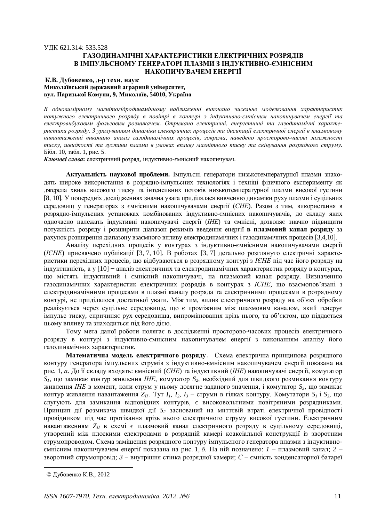## ɍȾɄ 621.314: 533.528

## ГАЗОДИНАМІЧНІ ХАРАКТЕРИСТИКИ ЕЛЕКТРИЧНИХ РОЗРЯДІВ В ІМПУЛЬСНОМУ ГЕНЕРАТОРІ ПЛАЗМИ З ІНДУКТИВНО-ЄМНІСНИМ НАКОПИЧУВАЧЕМ ЕНЕРГІЇ

# $\bf{K.B.}$  Дубовенко, д-р техн. наук Миколаївський державний аграрний університет,

**в**ул. Паризької Комуни. 9. Миколаїв. 54010. Україна

В одновимірному магнітогідродинамічному наближенні виконано чисельне моделювання характеристик потужного електричного розряду в повітрі в контурі з індуктивно-ємнісним накопичувачем енергії та електровибуховим фольговим розмикачем. Отримано електричні, енергетичні та газодинамічні характеристики розряду. З урахуванням динаміки електричних процесів та дисипації електричної енергії в плазмовому навантаженні виконано аналіз газодинамічних процесів, зокрема, наведено просторово-часові залежності тиску, швидкості та густини плазми в умовах впливу магнітного тиску та скінування розрядного струму. Бібл. 10, табл. 1, рис. 5.

Ключові слова: електричний розряд, індуктивно-ємнісний накопичувач.

**Актуальність наукової проблеми.** Імпульсні генератори низькотемпературної плазми знахолять широке використання в розрядно-імпульсних технологіях і техніці фізичного експерименту як джерела хвиль високого тиску та інтенсивних потоків низькотемпературної плазми високої густини [8, 10]. У попередніх дослідженнях значна увага приділялася вивченню динаміки руху плазми і суцільних середовищ у генераторах з ємнісними накопичувачами енергії (ЄНЕ). Разом з тим, використання в розрядно-імпульсних установках комбінованих індуктивно-ємнісних накопичувачів, до складу яких одночасно належать індуктивні накопичувачі енергії (IHE) та ємнісні, дозволяє значно підвищити потужність розряду і розширити діапазон режимів введення енергії в плазмовий канал розряду за рахунок розширення діапазону взаємного впливу електродинамічних і газодинамічних процесів [3,4,10].

Аналізу перехідних процесів у контурах з індуктивно-ємнісними накопичувачами енергії (ICHE) присвячено публікації [3, 7, 10]. В роботах [3, 7] детально розглянуто електричні характеристики перехідних процесів, що відбуваються в розрядному контурі з ICHE під час його розряду на  $i$ ндуктивність, а у [10] – аналіз електричних та електродинамічних характеристик розряду в контурах, шо містять індуктивний і ємнісний накопичувачі, на плазмовий канал розряду. Визначенню газодинамічних характеристик електричних розрядів в контурах з IEHE, що взаємопов'язані з електродинамічними процесами в плазмі каналу розряда та електричними процесами в розрядному контурі, не приділялося достатньої уваги. Між тим, вплив електричного розряду на об'єкт обробки реалізується через суцільне середовище, що є проміжним між плазмовим каналом, який генерує імпульс тиску, спричиняє рух середовища, випромінювання крізь нього, та об'єктом, що піддається цьому впливу та знаходиться під його дією.

Тому мета даної роботи полягає в дослідженні просторово-часових процесів електричного розряду в контурі з індуктивно-ємнісним накопичувачем енергії з виконанням аналізу його газодинамічних характеристик.

Математична модель електричного розряду. Схема електрична принципова розрядного контуру генератора імпульсних струмів з індуктивно-ємнісним накопичувачем енергії показана на рис. 1, а. До її складу входять: ємнісний (*ЄНЕ*) та індуктивний (IHE) накопичувачі енергії, комутатор  $S_i$ , що замикає контур живлення *IHE*, комутатор  $S_i$ , необхідний для швидкого розмикання контуру живлення IHE в момент, коли струм у ньому досягне заданого значення, і комутатор S<sub>3</sub>, що замикає контур живлення навантаження  $Z_H$ . Тут  $I_1$ ,  $I_2$ ,  $I_3$  – струми в гілках контуру. Комутатори  $S_1$  і  $S_3$ , що слугують для замикання відповідних контурів, є високовольтними повітряними розрядниками. Принцип дії розмикача швидкої дії  $S_2$  заснований на миттєвій втраті електричної провідності провідником під час протікання крізь нього електричного струму високої густини. Електричним навантаженням Z<sub>H</sub> в схемі є плазмовий канал електричного розряду в суцільному середовищі, утворений між плоскими електродами в розрядній камері коаксіальної конструкції із зворотним струмопроводом. Схема заміщення розрядного контуру імпульсного генератора плазми з індуктивноємнісним накопичувачем енергії показана на рис. 1, *б*. На ній позначено: *1* – плазмовий канал; 2 – зворотний струмопровід; 3 – внутрішня стінка розрядної камери; *С* – ємність конденсаторної батареї

<sup>©</sup> Дубовенко К.В., 2012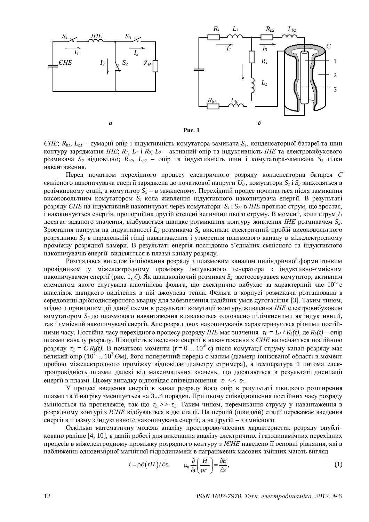

 *– сумарні опір і індуктивність комутатора-замикача*  $S<sub>1</sub>$ *, конденсаторної батареї та шин* контуру заряджання *IHE*;  $R_1$ ,  $L_1$  *i*,  $R_2$ ,  $L_2$  – активний опір та індуктивність *IHE* та електровибухового розмикача  $S_2$  відповідно;  $R_{b2}$ ,  $L_{b2}$  – опір та індуктивність шин і комутатора-замикача  $S_3$  гілки навантаження.

Перед початком перехідного процесу електричного розряду конденсаторна батарея *С*  $\epsilon$ мнісного накопичувача енергії заряджена до початкової напруги  $U_0$ , комутатори  $S_i$  і  $S_i$ знаходяться в розімкненому стані, а комутатор  $S_2$  – в замкненому. Перехідний процес починається після замикання високовольтним комутатором  $S_I$  кола живлення *індуктивного накопичувача енергії*. В результаті розряду *ЄНЕ* на індуктивний накопичувач через комутатори  $S_i$  і  $S_2$  в *IHE* протікає струм, що зростає,  $\dot{i}$ накопичується енергія, пропорційна другій степені величини цього струму. В момент, коли струм  $I_i$ досягає заданого значення, відбувається швидке розмикання контуру живлення IHE розмикачем S<sub>2</sub>. Зростання напруги на індуктивності L<sub>2</sub> розмикача S<sub>2</sub> викликає електричний пробій високовольтного розрядника S<sub>3</sub> в паралельній гілці навантаження і утворення плазмового каналу в міжелектродному проміжку розрядної камери. В результаті енергія послідовно з'єднаних ємнісного та індуктивного накопичувачів енергії виділяється в плазмі каналу розряду.

Розглядався випадок ініціювання розряду з плазмовим каналом циліндричної форми тонким провідником у міжелектродному проміжку імпульсного генератора з індуктивно-ємнісним накопичувачем енергії (рис. 1, *6*). Як швидкодіючий розмикач  $S_2$  застосовувався комутатор, активним елементом якого слугувала алюмінієва фольга, що електрично вибухає за характерний час  $10^{-6}$  с внаслідок швидкого виділення в ній джоулева тепла. Фольга в корпусі розмикача розташована в середовищі дрібнодисперсного кварцу для забезпечення надійних умов дугогасіння [3]. Таким чином, згідно з принципом дії даної схеми в результаті комутації контуру живлення IHE електровибуховим комутатором  $S_2$ до плазмового навантаження виявляються одночасно підімкненими як індуктивний, так і ємнісний накопичувачі енергії. Але розряд двох накопичувачів характеризується різними постійними часу. Постійна часу перехідного процесу розряду IHE має значення  $\tau_L = L_1 / R_k(t)$ , де  $R_k(t)$  – опір плазми каналу розряду. Швидкість виведення енергії в навантаження з ЄНЕ визначається постійною розряду  $\tau_c = C R_k(t)$ . В початкові моменти ( $t = 0$  ... 10<sup>-6</sup> с) після комутації струму канал розряду має великий опір (10<sup>2</sup> ... 10<sup>3</sup> Ом), його поперечний переріз є малим (діаметр іонізованої області в момент пробою міжелектродного проміжку відповідає діаметру стримера), а температура й питома електропровідність плазми далекі від максимальних значень, що досягаються в результаті дисипації eнергiї в плазмі. Цьому випадку відповідає співвідношення  $\tau_L \ll \tau_C$ .

У процесі введення енергії в канал розряду його опір в результаті швидкого розширення плазми та її нагріву зменшується на 3...4 порядки. При цьому співвідношення постійних часу розряду 3мінюється на протилежне, так що τ<sub>ι</sub> >> τ<sub>с</sub>. Таким чином, перемикання струму у навантаження в розрядному контурі з ICHE відбувається в дві стадії. На першій (швидкій) стадії переважає введення енергії в плазму з індуктивного накопичувача енергії, а на другій – з ємнісного.

Оскільки математичну модель аналізу просторово-часових характеристик розряду опубліковано раніше [4, 10], в даній роботі для виконання аналізу електричних і газодинамічних перехідних процесів в міжелектродному проміжку розрядного контуру з ICHE наведено її основні рівняння, які в наближенні одновимірної магнітної гідродинаміки в лагранжевих масових змінних мають вигляд

$$
i = \rho \partial (rH) / \partial s,
$$
  $\mu_0 \frac{\partial}{\partial t} \left( \frac{H}{\rho r} \right) = \frac{\partial E}{\partial s},$  (1)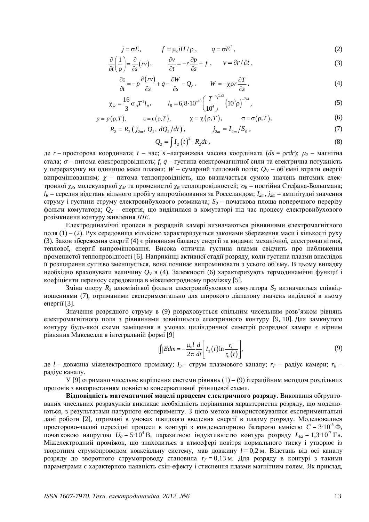$$
j = \sigma E, \qquad f = \mu_0 i H / \rho, \qquad q = \sigma E^2, \qquad (2)
$$

$$
\frac{\partial}{\partial t} \left( \frac{1}{\rho} \right) = \frac{\partial}{\partial s} (rv), \qquad \frac{\partial v}{\partial t} = -r \frac{\partial p}{\partial s} + f , \qquad v = \partial r / \partial t , \qquad (3)
$$

$$
\frac{\partial \varepsilon}{\partial t} = -p \frac{\partial (rv)}{\partial s} + q - \frac{\partial W}{\partial s} - Q_v, \qquad W = -\chi \rho r \frac{\partial T}{\partial s}, \tag{4}
$$

$$
\chi_R = \frac{16}{3} \sigma_B T^3 l_R, \qquad l_R = 6,8 \cdot 10^{-10} \left(\frac{T}{10^4}\right)^{1.33} \left(10^3 \rho\right)^{-7/4},\tag{5}
$$

$$
p = p(\rho, T), \qquad \epsilon = \epsilon(\rho, T), \qquad \chi = \chi(\rho, T), \qquad \sigma = \sigma(\rho, T),
$$
 (6)

$$
R_2 = R_2(j_{2m}, Q_2, dQ_2/dt), \qquad j_{2m} = I_{2m}/S_0, \qquad (7)
$$

$$
Q_2 = \int I_2 \left(t\right)^2 \cdot R_2 dt \,,\tag{8}
$$

де *r* – просторова координата; *t* – час; *s* –лагранжева масова координата (*ds* = prdr);  $\mu_0$  – магнітна стала;  $\sigma$  – питома електропровідність; *f, q* – густина електромагнітної сили та електрична потужність у перерахунку на одиницю маси плазми; *W* – сумарний тепловий потік;  $Q_V$  – об'ємні втрати енергії випромінюванням;  $\chi$  – питома теплопровідність, що визначається сумою значень питомих електронної χ<sub>*Ε*</sub>, молекулярної χ<sub>Μ</sub> та променистої χ<sub>R</sub> теплопровідностей; σ<sub>B</sub> – постійна Стефана-Больцмана;  $l_R$  – середня відстань вільного пробігу випромінювання за Росселандом;  $I_{2m}$ ,  $j_{2m}$  – амплітудні значення струму і густини струму електровибухового розмикача; S<sub>0</sub> – початкова площа поперечного перерізу фольги комутатора;  $Q_2$  – енергія, що виділилася в комутаторі під час процесу електровибухового розімкнення контуру живлення *ІНЕ*.

Електродинамічні процеси в розрядній камері визначаються рівняннями електромагнітного поля  $(1) - (2)$ . Рух середовища кількісно характеризується законами збереження маси і кількості руху (3). Закон збереження енергії (4) є рівнянням балансу енергії за видами: механічної, електромагнітної, теплової, енергії випромінювання. Висока оптична густина плазми свідчить про наближення променистої теплопровідності [6]. Наприкінці активної стадії розряду, коли густина плазми внаслідок п розширення суттєво зменшується, вона починає випромінювати з усього об'єму. В цьому випадку необхідно враховувати величину  $O_V$  в (4). Залежності (6) характеризують термодинамічні функції і коефіцієнти переносу середовища в міжелектродному проміжку [5].

Зміна опору  $R_2$  алюмінієвої фольги електровибухового комутатора  $S_2$  визначається співвідношеннями (7), отриманими експериментально для широкого діапазону значень виділеної в ньому енергії [3].

Значення розрядного струму в (9) розраховується спільним чисельним розв'язком рівнянь електромагнітного поля з рівняннями зовнішнього електричного контуру [9, 10]. Для замкнутого контуру будь-якої схеми заміщення в умовах циліндричної симетрії розрядної камери є вірним рівняння Максвелла в інтегральній формі [9]

$$
\int_{\mathbb{D}} E dm = -\frac{\mu_0 l}{2\pi} \frac{d}{dt} \left[ I_3(t) \ln \frac{r_r}{r_k(t)} \right],\tag{9}
$$

де  $l$  – довжина міжелектродного проміжку;  $I_3$  – струм плазмового каналу;  $r_I$  – радіус камери;  $r_k$  – радіус каналу.

У [9] отримано чисельне вирішення системи рівнянь (1) – (9) ітераційним методом роздільних прогонів з використанням повністю консервативної різницевої схеми.

Відповідність математичної моделі процесам електричного розряду. Виконання обтрунтованих чисельних розрахунків викликає необхідність порівняння характеристик розряду, що моделюються, з результатами натурного експерименту. З цією метою використовувалися експериментальні дані роботи [2], отримані в умовах швидкого введення енергії в плазму розряду. Моделювалися просторово-часові перехідні процеси в контурі з конденсаторною батареєю ємністю  $C = 3.10^{-5} \Phi$ , початковою напругою  $U_0 = 5.10^4$  В, паразитною індуктивністю контура розряду  $L_{b2} = 1.3 \cdot 10^{-7}$  Гн. Міжелектродний проміжок, що знаходиться в атмосфері повітря нормального тиску і утворює із зворотним струмопроводом коаксіальну систему, мав довжину  $l = 0,2$ м. Відстань від осі каналу розряду до зворотного струмопроводу становила  $r<sub>\Gamma</sub> = 0,13$ м. Для розряду в контурі з такими параметрами є характерною наявність скін-ефекту і стиснення плазми магнітним полем. Як приклад,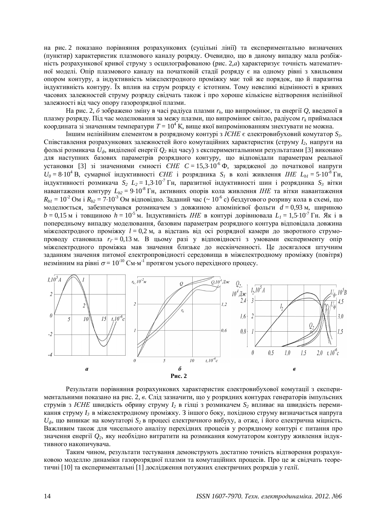на рис. 2 показано порівняння розрахункових (суцільні лінії) та експериментально визначених (пунктир) характеристик плазмового каналу розряду. Очевидно, що в даному випадку мала розбіжність розрахункової кривої струму з осцилографованою (рис. 2,*а*) характеризує точність математичної моделі. Опір плазмового каналу на початковій стадії розряду є на одному рівні з хвильовим опором контуру, а індуктивність міжелектродного проміжку має той же порядок, що й паразитна  $i$ ндуктивність контуру. Їх вплив на струм розряду є істотним. Тому невеликі відмінності в кривих часових залежностей струму розряду свідчать також і про хороше кількісне відтворення нелінійної залежності від часу опору газорозрядної плазми.

На рис. 2, *б* зображено зміну в часі радіуса плазми  $r_k$ , що випромінює, та енергії  $Q$ , введеної в плазму розряду. Під час моделювання за межу плазми, що випромінює світло, радіусом  $r_k$  приймалася координата зі значенням температури  $T = 10^4$  К, вище якої випромінюванням знехтувати не можна.

 $I$ ншим нелінійним елементом в розрядному контурі з ICHE є електровибуховий комутатор S<sub>3</sub>. Співставлення розрахункових залежностей його комутаційних характеристик (струму  $I_2$ , напруги на фользі розмикача  $U_{\phi}$ , виділеної енергії  $Q_2$  від часу) з експериментальними результатами [3] виконано для наступних базових параметрів розрядного контуру, що відповідали параметрам реальної установки [3] зі значеннями ємності *ЄНЕ С* = 15,3·10<sup>-6</sup> Ф, зарядженої до початкової напруги  $U_0 = 8.10^4$  В, сумарної індуктивності *ЄНЕ* і розрядника  $S_I$  в колі живлення *ІНЕ*  $L_{bI} = 5.10^{-8}$  Гн, iндуктивностi розмикача  $S_2 L_2 = 1,3 \cdot 10^{-7}$ Гн, паразитної iндуктивностi шин i розрядника  $S_3$  вiтки Навантаження контуру L<sub>b2</sub> = 9.10<sup>8</sup> Гн, активних опорів кола живлення *IHE* та вітки навантаження  $R_{b1} = 10^{-2}$  Om i  $R_{b2} = 7 \cdot 10^{-3}$  Om відповідно. Заданий час (~ 10<sup>-6</sup> c) бездугового розриву кола в схемі, що моделюється, забезпечувався розмикачем з довжиною алюмінієвої фольги  $d = 0.93$ м, шириною  $b = 0,15$  м і товщиною  $h = 10^{-5}$  м. Індуктивність *ІНЕ* в контурі дорівнювала  $L<sub>I</sub> = 1,5 \cdot 10^{-7}$  Гн. Як і в попередньому випадку моделювання, базовим параметрам розрядного контура відповідала довжина міжелектродного проміжку  $l = 0.2$  м, а відстань від осі розрядної камери до зворотного струмопроводу становила  $r_r = 0.13$  м. В цьому разі у відповідності з умовами експерименту опір міжелектродного проміжка мав значення близьке до нескінченності. Це досягалося штучним заданням значення питомої електропровідності середовища в міжелектродному проміжку (повітря) незмінним на рівні  $\sigma = 10^{-10}$  См·м<sup>-1</sup> протягом усього перехідного процесу.



Результати порівняння розрахункових характеристик електровибухової комутації з експериментальними показано на рис. 2, *в*. Слід зазначити, що у розрядних контурах генераторів імпульсних струмів з IЄНЕ швидкість обриву струму  $I_2$  в гілці з розмикачем  $S_2$  впливає на швидкість перемикання струму  $I_3$  в міжелектродному проміжку. З іншого боку, похідною струму визначається напруга  $U_{\phi}$ , що виникає на комутаторі  $S_2$  в процесі електричного вибуху, а отже, і його електрична міцність. Важливим також для чисельного аналізу перехідних процесів у розрядному контурі є питання про значення енергії  $Q_2$ , яку необхідно витратити на розмикання комутатором контуру живлення індуктивного накопичувача.

Таким чином, результати тестування демонструють достатню точність відтворення розрахунковою моделлю динаміки газорозрядної плазми та комутаційних процесів. Про це ж свідчать теоретичні [10] та експериментальні [1] дослідження потужних електричних розрядів у гелії.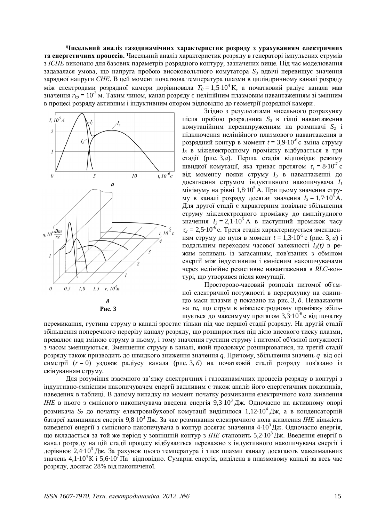Чисельний аналіз газодинамічних характеристик розряду з урахуванням електричних **та енергетичних процесів.** Чисельний аналіз характеристик розряду в генераторі імпульсних струмів з IЄНЕ виконано для базових параметрів розрядного контуру, зазначених вище. Під час моделювання задавалася умова, що напруга пробою високовольтного комутатора S<sub>3</sub> вдвічі перевищує значення зарядної напруги *ЄНЕ*. В цей момент початкова температура плазми в циліндричному каналі розряду між електродами розрядної камери дорівнювала  $T_{0} = 1{,}5{\cdot}10^{4}$ К, а початковий радіус канала мав значення  $r_{k0} = 10^{-3}$  м. Таким чином, канал розряду є нелінійним плазмовим навантаженням зі змінним в процесі розряду активним і індуктивним опором відповідно до геометрії розрядної камери.



Згідно з результатами чисельного розрахунку після пробою розрядника S<sub>3</sub> в гілці навантаження комутаційним перенапруженням на розмикачі  $S_2$  і підключення нелінійного плазмового навантаження в розрядний контур в момент  $t = 3.9 \cdot 10^{-6}$  с зміна струму  $I_3$  в міжелектродному проміжку відбувається в три стадії (рис. 3,*a*). Перша стадія відповідає режиму швидкої комутації, яка триває протягом  $\tau_l = 8 \cdot 10^{-7}$  с від моменту появи струму  $I_3$  в навантаженні до досягнення струмом індуктивного накопичувача *I*<sup>1</sup> мінімуму на рівні  $1,8.10^5$ А. При цьому значення струму в каналі розряду досягає значення  $I_3 = 1.7 \cdot 10^5$  А. Для другої стадії є характерним повільне збільшення струму міжелектродного проміжку до амплітудного значення  $I_3 = 2, 1.10^5$  А в наступний проміжок часу  $\tau_2 = 2.5 \cdot 10^{-6}$ с. Третя стадія характеризується зменшенням струму до нуля в момент  $t = 1,3.10^5$  с (рис. 3, *а*) *i* подальшим переходом часової залежності  $I_3(t)$  в режим коливань із загасанням, пов'язаних з обміном енергії між індуктивним і ємнісним накопичувачами через нелінійне резистивне навантаження в RLC-контурі, що утворився після комутації.

Просторово-часовий розподіл питомої об'ємної електричної потужності в перерахунку на одиницю маси плазми *q* показано на рис. 3, б. Незважаючи на те, що струм в міжелектродному проміжку збільшується до максимуму протягом 3,3 $\cdot 10^{-6}$ с від початку

перемикання, густина струму в каналі зростає тільки піл час першої сталії розрялу. На лругій сталії збільшення поперечного перерізу каналу розряду, що розширюється під дією високого тиску плазми, превалює над зміною струму в ньому, і тому значення густини струму і питомої об'ємної потужності з часом зменшуються. Зменшення струму в каналі, який продовжує розширюватися, на третій стадії розряду також призводить до швидкого зниження значення *q*. Причому, збільшення значень *q* від осі симетрії (r = 0) уздовж радіусу канала (рис. 3, 6) на початковій стадії розряду пов'язано із скінуванням струму.

Для розуміння взаємного зв'язку електричних і газодинамічних процесів розряду в контурі з індуктивно-ємнісним накопичувачем енергії важливим є також аналіз його енергетичних показників. наведених в таблиці. В даному випадку на момент початку розмикання електричного кола живлення *IHE* в нього з ємнісного накопичувача введена енергія 9,3·10<sup>3</sup> Дж. Одночасно на активному опорі розмикача S<sub>2</sub> до початку електровибухової комутації виділилося 1,12·10<sup>4</sup> Дж, а в конденсаторній батареї залишилася енергія 9,8·10<sup>3</sup> Дж. За час розмикання електричного кола живлення IHE кількість виведеної енергії з ємнісного накопичувача в контур досягає значення 4·10<sup>3</sup> Дж. Одночасно енергія, що вкладається за той же період у зовнішній контур з IHE становить 5,2·10<sup>3</sup>Дж. Введення енергії в канал розряду на цій стадії процесу відбувається переважно з індуктивного накопичувача енергії і дорівнює 2,4·10<sup>3</sup> Дж. За рахунок цього температура і тиск плазми каналу досягають максимальних значень 4,1·10<sup>4</sup>К і 5,6·10<sup>7</sup> Па відповідно. Сумарна енергія, виділена в плазмовому каналі за весь час розряду, досягає 28% від накопиченої.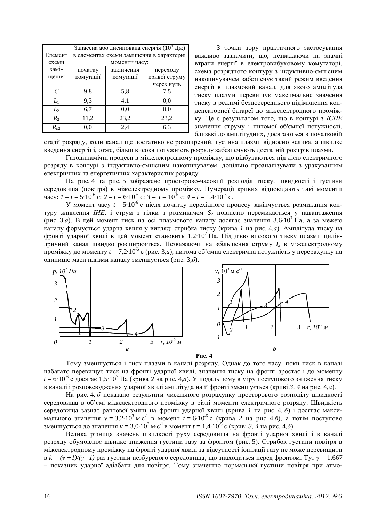|          | Запасена або дисипована енергія (10 <sup>3</sup> Дж) |            |               |
|----------|------------------------------------------------------|------------|---------------|
| Елемент  | в елементах схеми заміщення в характерні             |            |               |
| схеми    | моменти часу:                                        |            |               |
| зам1-    | початку                                              | закінчення | переходу      |
| щення    | комутації                                            | комутації  | кривої струму |
|          |                                                      |            | через нуль    |
| $\Gamma$ | 9.8                                                  | 5,8        | 7.5           |
| $L_1$    | 9.3                                                  | 4,1        | 0.0           |
| $L_2$    | 6,7                                                  | 0.0        | 0.0           |
| $R_2$    | 11,2                                                 | 23,2       | 23,2          |
| $R_{h2}$ | 0.0                                                  | 2,4        | 6,3           |

3 точки зору практичного застосування важливо зазначити, що, незважаючи на значні втрати енергії в електровибуховому комутаторі, схема розрядного контуру з індуктивно-ємнісним накопичувачем забезпечує такий режим введення енергії в плазмовий канал, для якого амплітуда тиску плазми перевищує максимальне значення тиску в режимі безпосереднього підімкнення конденсаторної батареї до міжелектродного проміжку. Це є результатом того, що в контурі з ICHE значення струму і питомої об'ємної потужності, близькі до амплітудних, досягаються в початковій

стадії розряду, коли канал ще достатньо не розширений, густина плазми відносно велика, а швидке введення енергії і, отже, більш висока потужність розряду забезпечують достатній розігрів плазми.

Газодинамічні процеси в міжелектродному проміжку, що відбуваються під дією електричного розряду в контурі з індуктивно-ємнісним накопичувачем, доцільно проаналізувати з урахуванням eлектричних та енергетичних характеристик розряду.

На рис. 4 та рис. 5 зображено просторово-часовий розполіл тиску, швилкості і густини середовища (повітря) в міжелектродному проміжку. Нумерації кривих відповідають такі моменти  $\text{uacy: } I - t = 5 \cdot 10^{-6} \text{ c}; 2 - t = 6 \cdot 10^{-6} \text{ c}; 3 - t = 10^{-5} \text{ c}; 4 - t = 1,4 \cdot 10^{-5} \text{ c}.$ 

У момент часу  $t = 5.10^{-6}$  с після початку перехідного процесу закінчується розмикання контуру живлення IHE, і струм з гілки з розмикачем  $S_2$  повністю перемикається у навантаження (рис. 3,*а*). В цей момент тиск на осі плазмового каналу досягає значення 3,6·10<sup>7</sup> Па, а за межею каналу формується ударна хвиля у вигляді стрибка тиску (крива *1* на рис. 4,*а*). Амплітуда тиску на фронті ударної хвилі в цей момент становить 1,2·10<sup>7</sup> Па. Під дією високого тиску плазми циліндричний канал швидко розширюється. Незважаючи на збільшення струму  $I_3$  в міжелектродному проміжку до моменту  $t = 7.2 \cdot 10^{-6}$  с (рис. 3,*a*), питома об'ємна електрична потужність у перерахунку на одиницю маси плазми каналу зменшується (рис. 3,*6*).







Тому зменшується і тиск плазми в каналі розряду. Однак до того часу, поки тиск в каналі набагато перевищує тиск на фронті ударної хвилі, значення тиску на фронті зростає і до моменту  $t = 6.10^{-6}$  с досягає 1,5·10<sup>7</sup> Па (крива 2 на рис. 4,*a*). У подальшому в міру поступового зниження тиску в каналі і розповсюдження ударної хвилі амплітуда на її фронті зменшується (криві 3, 4 на рис. 4,*а*).

На рис. 4, б показано результати чисельного розрахунку просторового розподілу швидкості середовища в об'ємі міжелектродного проміжку в різні моменти електричного розряду. Швидкість середовища зазнає раптової зміни на фронті ударної хвилі (крива 1 на рис. 4, *6*) і досягає максимального значення  $v = 3,2 \cdot 10^3$  м·c<sup>-1</sup> в момент  $t = 6 \cdot 10^{-6}$  с (крива 2 на рис. 4,*6*), а потім поступово зменшується до значення *v* = 3,0·10<sup>3</sup> м·с<sup>−1</sup> в момент *t* = 1,4·10<sup>-5</sup> с (криві *3*, 4 на рис. 4,*6*).

Велика різниця значень швидкості руху середовища на фронті ударної хвилі і в каналі розряду обумовлює швидке зниження густини газу за фронтом (рис. 5). Стрибок густини повітря в міжелектродному проміжку на фронті ударної хвилі за відсутності іонізації газу не може перевищити  $B k = (\gamma +1)/(\gamma -1)$  раз густини незбуреного середовища, що знаходиться перед фронтом. Тут  $\gamma = 1,667$ – показник ударної адіабати для повітря. Тому значенню нормальної густини повітря при атмо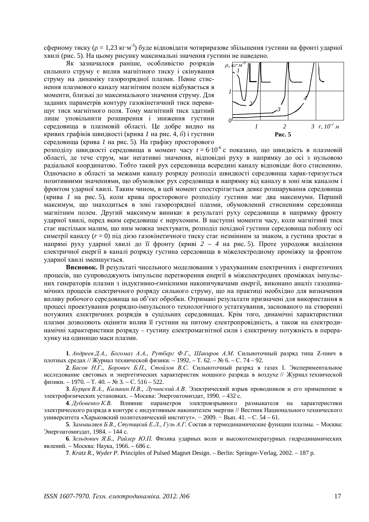сферному тиску ( $\rho = 1.23 \text{ кг·м}^3$ ) буде відповідати чотириразове збільшення густини на фронті ударної хвилі (рис. 5). На цьому рисунку максимальні значення густини не наведено.

Як зазначалося раніше, особливістю розрядів сильного струму є вплив магнітного тиску і скінування струму на динаміку газорозрядної плазми. Певне стиснення плазмового каналу магнітним полем відбувається в моменти, близькі до максимального значення струму. Для заданих параметрів контуру газокінетичний тиск перевищує тиск магнітного поля. Тому магнітний тиск здатний лише уповільнити розширення і зниження густини середовища в плазмовій області. Це добре видно на кривих графіків швидкості (крива *1* на рис. 4, *б*) і густини середовища (крива *1* на рис. 5). На графіку просторового



розподілу швидкості середовища в момент часу  $t = 6.10^{-6}$  с показано, що швидкість в плазмовій області, де тече струм, має негативні значення, відповідні руху в напрямку до осі з нульовою радіальної координатою. Тобто такий рух середовища всередині каналу відповідає його стисненню. Одночасно в області за межами каналу розряду розподіл швидкості середовища харак-теризується позитивними значеннями, що обумовлює рух середовища в напрямку від каналу в зоні між каналом і фронтом ударної хвилі. Таким чином, в цей момент спостерігається деяке розшарування середовища (крива *1* на рис. 5), коли крива просторового розподілу густини має два максимуми. Перший максимум, що знаходиться в зоні газорозрядної плазми, обумовлений стисненням середовища магнітним полем. Другий максимум виникає в результаті руху середовища в напрямку фронту ударної хвилі, перед яким середовище є нерухомим. В наступні моменти часу, коли магнітний тиск стає настільки малим, що ним можна знехтувати, розподіл похідної густини середовища поблизу осі симетрії каналу ( $r = 0$ ) під дією газокінетичного тиску стає незмінним за знаком, а густина зростає в напрямі руху ударної хвилі до її фронту (криві 2 – 4 на рис. 5). Проте упродовж виділення електричної енергії в каналі розряду густина середовища в міжелектродному проміжку за фронтом ударної хвилі зменшується.

Висновок. В результаті чисельного моделювання з урахуванням електричних і енергетичних процесів, що супроводжують імпульсне перетворення енергії в міжелектродних проміжках імпульсних генераторів плазми з індуктивно-ємнісними накопичувачами енергії, виконано аналіз газодинамічних процесів електричного розряду сильного струму, що на практиці необхідно для визначення впливу робочого середовища на об'єкт обробки. Отримані результати призначені для використання в процесі проектування розрядно-імпульсного технологічного устаткування, заснованого на створенні потужних електричних розрядів в суцільних середовищах. Крім того, динамічні характеристики плазми дозволяють оцінити вплив її густини на питому електропровідність, а також на електродинамічні характеристики розряду – густину електромагнітної сили і електричну потужність в перерахүнкү на одиницю маси плазми.

1. Андреев Д.А., Богомаз А.А., Рутберг Ф.Г., Шакиров А.М. Сильноточный разряд типа Z-пинч в плотных средах // Журнал технической физики. – 1992. – Т. 62. – № 6. – С. 74 – 92.

2. *Басов Н.Г., Борович Б.П., Стойлов В.С.* Сильноточный разряд в газах І. Экспериментальное исследование световых и энергетических характеристик мощного разряда в воздухе // Журнал технической физики. – 1970. – Т. 40. –  $\mathbb{N}^2$  3. – С. 516 – 522.

3. *Бурцев В.А., Калинин Н.В., Лучинский А.В.* Электрический взрыв проводников и его применение в электрофизических установках. – Москва: Энергоатомиздат, 1990. – 432 с.

4. Дубовенко К.В. Влияние параметров электровзрывного размыкателя на характеристики электрического разряда в контуре с индуктивным накопителем энергии // Вестник Национального технического vниверситета «Харьковский политехнический институт». – 2009. – Вып. 41. – С. 54 – 61.

5. Замышляев Б.В., Ступицкий Е.Л., Гузь А.Г. Состав и термодинамические функции плазмы. – Москва: Энергоатомиздат, 1984. – 144 с.

6. Зельдович Я.Б., Райзер Ю.П. Физика ударных волн и высокотемпературных гидродинамических явлений. – Москва: Наука, 1966. – 686 с.

**7**. *Kratz R., Wyder P*. Principles of Pulsed Magnet Design. – Berlin: Springer-Verlag, 2002. – 187 p.